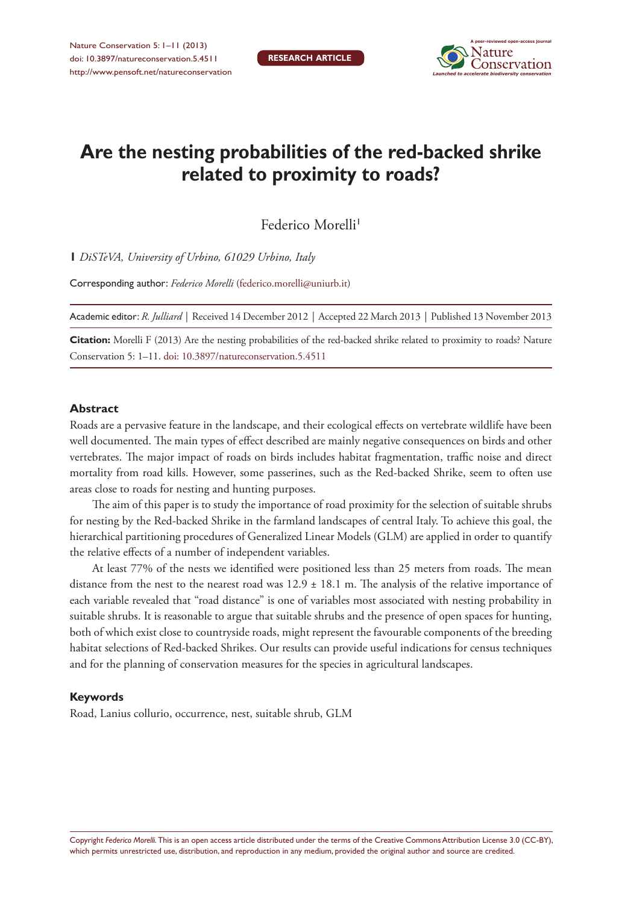

# **Are the nesting probabilities of the red-backed shrike related to proximity to roads?**

Federico Morelli<sup>1</sup>

**1** *DiSTeVA, University of Urbino, 61029 Urbino, Italy*

Corresponding author: *Federico Morelli* [\(federico.morelli@uniurb.it](mailto:federico.morelli@uniurb.it))

Academic editor: *R. Julliard* | Received 14 December 2012 | Accepted 22 March 2013 | Published 13 November 2013

**Citation:** Morelli F (2013) Are the nesting probabilities of the red-backed shrike related to proximity to roads? Nature Conservation 5: 1–11. [doi: 10.3897/natureconservation.5.4511](http://dx.doi.org/10.3897/natureconservation.5.4511)

#### **Abstract**

Roads are a pervasive feature in the landscape, and their ecological effects on vertebrate wildlife have been well documented. The main types of effect described are mainly negative consequences on birds and other vertebrates. The major impact of roads on birds includes habitat fragmentation, traffic noise and direct mortality from road kills. However, some passerines, such as the Red-backed Shrike, seem to often use areas close to roads for nesting and hunting purposes.

The aim of this paper is to study the importance of road proximity for the selection of suitable shrubs for nesting by the Red-backed Shrike in the farmland landscapes of central Italy. To achieve this goal, the hierarchical partitioning procedures of Generalized Linear Models (GLM) are applied in order to quantify the relative effects of a number of independent variables.

At least 77% of the nests we identified were positioned less than 25 meters from roads. The mean distance from the nest to the nearest road was  $12.9 \pm 18.1$  m. The analysis of the relative importance of each variable revealed that "road distance" is one of variables most associated with nesting probability in suitable shrubs. It is reasonable to argue that suitable shrubs and the presence of open spaces for hunting, both of which exist close to countryside roads, might represent the favourable components of the breeding habitat selections of Red-backed Shrikes. Our results can provide useful indications for census techniques and for the planning of conservation measures for the species in agricultural landscapes.

#### **Keywords**

Road, Lanius collurio, occurrence, nest, suitable shrub, GLM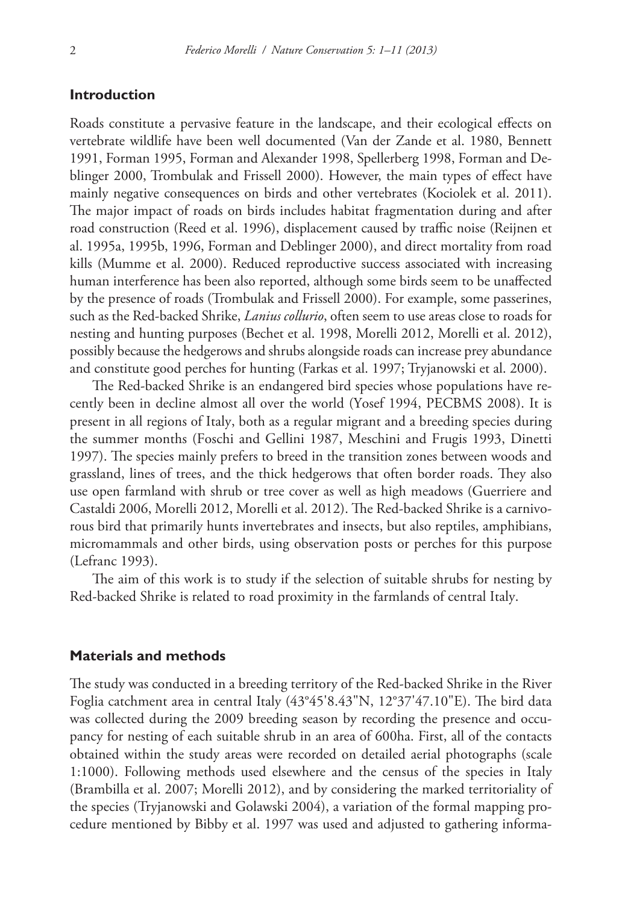## **Introduction**

Roads constitute a pervasive feature in the landscape, and their ecological effects on vertebrate wildlife have been well documented (Van der Zande et al. 1980, Bennett 1991, Forman 1995, Forman and Alexander 1998, Spellerberg 1998, Forman and Deblinger 2000, Trombulak and Frissell 2000). However, the main types of effect have mainly negative consequences on birds and other vertebrates (Kociolek et al. 2011). The major impact of roads on birds includes habitat fragmentation during and after road construction (Reed et al. 1996), displacement caused by traffic noise (Reijnen et al. 1995a, 1995b, 1996, Forman and Deblinger 2000), and direct mortality from road kills (Mumme et al. 2000). Reduced reproductive success associated with increasing human interference has been also reported, although some birds seem to be unaffected by the presence of roads (Trombulak and Frissell 2000). For example, some passerines, such as the Red-backed Shrike, *Lanius collurio*, often seem to use areas close to roads for nesting and hunting purposes (Bechet et al. 1998, Morelli 2012, Morelli et al. 2012), possibly because the hedgerows and shrubs alongside roads can increase prey abundance and constitute good perches for hunting (Farkas et al. 1997; Tryjanowski et al. 2000).

The Red-backed Shrike is an endangered bird species whose populations have recently been in decline almost all over the world (Yosef 1994, PECBMS 2008). It is present in all regions of Italy, both as a regular migrant and a breeding species during the summer months (Foschi and Gellini 1987, Meschini and Frugis 1993, Dinetti 1997). The species mainly prefers to breed in the transition zones between woods and grassland, lines of trees, and the thick hedgerows that often border roads. They also use open farmland with shrub or tree cover as well as high meadows (Guerriere and Castaldi 2006, Morelli 2012, Morelli et al. 2012). The Red-backed Shrike is a carnivorous bird that primarily hunts invertebrates and insects, but also reptiles, amphibians, micromammals and other birds, using observation posts or perches for this purpose (Lefranc 1993).

The aim of this work is to study if the selection of suitable shrubs for nesting by Red-backed Shrike is related to road proximity in the farmlands of central Italy.

### **Materials and methods**

The study was conducted in a breeding territory of the Red-backed Shrike in the River Foglia catchment area in central Italy (43°45'8.43"N, 12°37'47.10"E). The bird data was collected during the 2009 breeding season by recording the presence and occupancy for nesting of each suitable shrub in an area of 600ha. First, all of the contacts obtained within the study areas were recorded on detailed aerial photographs (scale 1:1000). Following methods used elsewhere and the census of the species in Italy (Brambilla et al. 2007; Morelli 2012), and by considering the marked territoriality of the species (Tryjanowski and Golawski 2004), a variation of the formal mapping procedure mentioned by Bibby et al. 1997 was used and adjusted to gathering informa-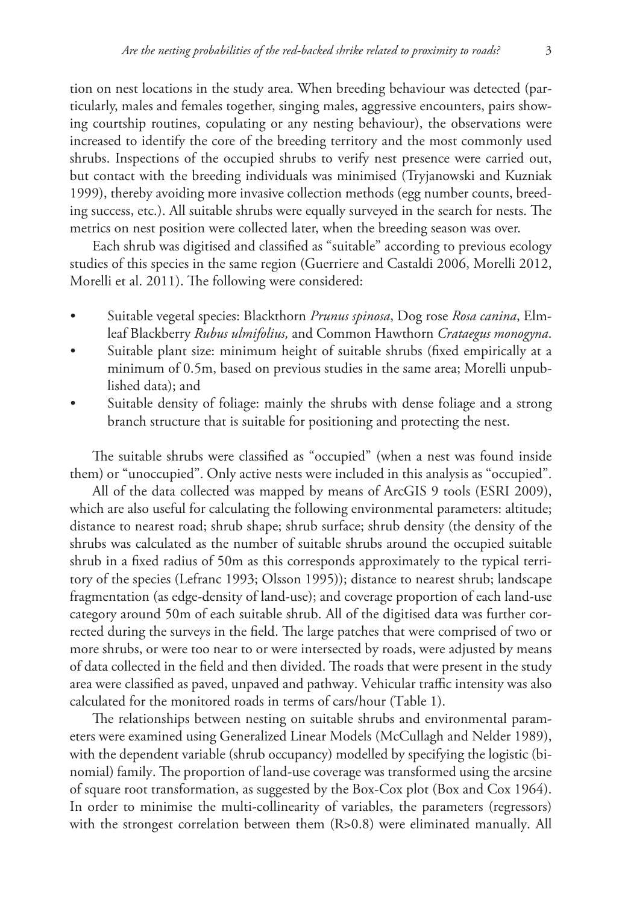tion on nest locations in the study area. When breeding behaviour was detected (particularly, males and females together, singing males, aggressive encounters, pairs showing courtship routines, copulating or any nesting behaviour), the observations were increased to identify the core of the breeding territory and the most commonly used shrubs. Inspections of the occupied shrubs to verify nest presence were carried out, but contact with the breeding individuals was minimised (Tryjanowski and Kuzniak 1999), thereby avoiding more invasive collection methods (egg number counts, breeding success, etc.). All suitable shrubs were equally surveyed in the search for nests. The metrics on nest position were collected later, when the breeding season was over.

Each shrub was digitised and classified as "suitable" according to previous ecology studies of this species in the same region (Guerriere and Castaldi 2006, Morelli 2012, Morelli et al. 2011). The following were considered:

- Suitable vegetal species: Blackthorn *Prunus spinosa*, Dog rose *Rosa canina*, Elmleaf Blackberry *Rubus ulmifolius,* and Common Hawthorn *Crataegus monogyna*.
- Suitable plant size: minimum height of suitable shrubs (fixed empirically at a minimum of 0.5m, based on previous studies in the same area; Morelli unpublished data); and
- Suitable density of foliage: mainly the shrubs with dense foliage and a strong branch structure that is suitable for positioning and protecting the nest.

The suitable shrubs were classified as "occupied" (when a nest was found inside them) or "unoccupied". Only active nests were included in this analysis as "occupied".

All of the data collected was mapped by means of ArcGIS 9 tools (ESRI 2009), which are also useful for calculating the following environmental parameters: altitude; distance to nearest road; shrub shape; shrub surface; shrub density (the density of the shrubs was calculated as the number of suitable shrubs around the occupied suitable shrub in a fixed radius of 50m as this corresponds approximately to the typical territory of the species (Lefranc 1993; Olsson 1995)); distance to nearest shrub; landscape fragmentation (as edge-density of land-use); and coverage proportion of each land-use category around 50m of each suitable shrub. All of the digitised data was further corrected during the surveys in the field. The large patches that were comprised of two or more shrubs, or were too near to or were intersected by roads, were adjusted by means of data collected in the field and then divided. The roads that were present in the study area were classified as paved, unpaved and pathway. Vehicular traffic intensity was also calculated for the monitored roads in terms of cars/hour (Table 1).

The relationships between nesting on suitable shrubs and environmental parameters were examined using Generalized Linear Models (McCullagh and Nelder 1989), with the dependent variable (shrub occupancy) modelled by specifying the logistic (binomial) family. The proportion of land-use coverage was transformed using the arcsine of square root transformation, as suggested by the Box-Cox plot (Box and Cox 1964). In order to minimise the multi-collinearity of variables, the parameters (regressors) with the strongest correlation between them (R>0.8) were eliminated manually. All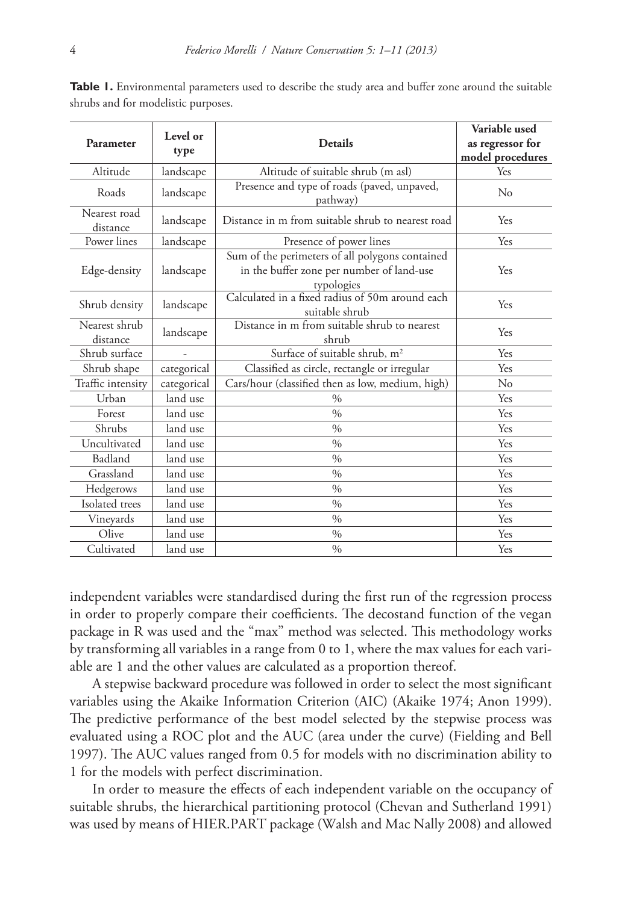|                           | Level or<br>type |                                                                                                            | Variable used    |
|---------------------------|------------------|------------------------------------------------------------------------------------------------------------|------------------|
| Parameter                 |                  | <b>Details</b>                                                                                             | as regressor for |
|                           |                  |                                                                                                            | model procedures |
| Altitude                  | landscape        | Altitude of suitable shrub (m asl)                                                                         | Yes              |
| Roads                     | landscape        | Presence and type of roads (paved, unpaved,<br>pathway)                                                    | $\rm No$         |
| Nearest road<br>distance  | landscape        | Distance in m from suitable shrub to nearest road                                                          | Yes              |
| Power lines               | landscape        | Presence of power lines                                                                                    | Yes              |
| Edge-density              | landscape        | Sum of the perimeters of all polygons contained<br>in the buffer zone per number of land-use<br>typologies | Yes              |
| Shrub density             | landscape        | Calculated in a fixed radius of 50m around each<br>suitable shrub                                          | Yes              |
| Nearest shrub<br>distance | landscape        | Distance in m from suitable shrub to nearest<br>shrub                                                      | Yes              |
| Shrub surface             |                  | Surface of suitable shrub, m <sup>2</sup>                                                                  | Yes              |
| Shrub shape               | categorical      | Classified as circle, rectangle or irregular                                                               | Yes              |
| Traffic intensity         | categorical      | Cars/hour (classified then as low, medium, high)                                                           | No               |
| Urban                     | land use         | $\frac{0}{0}$                                                                                              | Yes              |
| Forest                    | land use         | $\%$                                                                                                       | Yes              |
| Shrubs                    | land use         | $\%$                                                                                                       | Yes              |
| Uncultivated              | land use         | $\%$                                                                                                       | Yes              |
| Badland                   | land use         | $\frac{0}{0}$                                                                                              | Yes              |
| Grassland                 | land use         | $\frac{0}{0}$                                                                                              | Yes              |
| Hedgerows                 | land use         | $\frac{0}{0}$                                                                                              | Yes              |
| Isolated trees            | land use         | $\frac{0}{0}$                                                                                              | Yes              |
| Vineyards                 | land use         | $\%$                                                                                                       | Yes              |
| Olive                     | land use         | $\frac{0}{0}$                                                                                              | Yes              |
| Cultivated                | land use         | $\frac{0}{0}$                                                                                              | Yes              |

**Table 1.** Environmental parameters used to describe the study area and buffer zone around the suitable shrubs and for modelistic purposes.

independent variables were standardised during the first run of the regression process in order to properly compare their coefficients. The decostand function of the vegan package in R was used and the "max" method was selected. This methodology works by transforming all variables in a range from 0 to 1, where the max values for each variable are 1 and the other values are calculated as a proportion thereof.

A stepwise backward procedure was followed in order to select the most significant variables using the Akaike Information Criterion (AIC) (Akaike 1974; Anon 1999). The predictive performance of the best model selected by the stepwise process was evaluated using a ROC plot and the AUC (area under the curve) (Fielding and Bell 1997). The AUC values ranged from 0.5 for models with no discrimination ability to 1 for the models with perfect discrimination.

In order to measure the effects of each independent variable on the occupancy of suitable shrubs, the hierarchical partitioning protocol (Chevan and Sutherland 1991) was used by means of HIER.PART package (Walsh and Mac Nally 2008) and allowed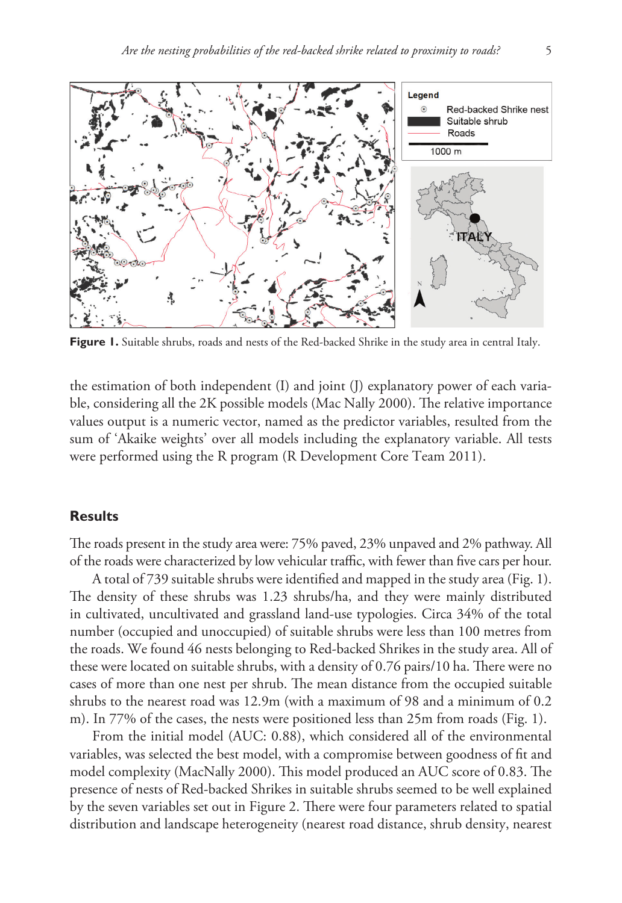

Figure 1. Suitable shrubs, roads and nests of the Red-backed Shrike in the study area in central Italy.

the estimation of both independent (I) and joint (J) explanatory power of each variable, considering all the 2K possible models (Mac Nally 2000). The relative importance values output is a numeric vector, named as the predictor variables, resulted from the sum of 'Akaike weights' over all models including the explanatory variable. All tests were performed using the R program (R Development Core Team 2011).

## **Results**

The roads present in the study area were: 75% paved, 23% unpaved and 2% pathway. All of the roads were characterized by low vehicular traffic, with fewer than five cars per hour.

A total of 739 suitable shrubs were identified and mapped in the study area (Fig. 1). The density of these shrubs was 1.23 shrubs/ha, and they were mainly distributed in cultivated, uncultivated and grassland land-use typologies. Circa 34% of the total number (occupied and unoccupied) of suitable shrubs were less than 100 metres from the roads. We found 46 nests belonging to Red-backed Shrikes in the study area. All of these were located on suitable shrubs, with a density of 0.76 pairs/10 ha. There were no cases of more than one nest per shrub. The mean distance from the occupied suitable shrubs to the nearest road was 12.9m (with a maximum of 98 and a minimum of 0.2 m). In 77% of the cases, the nests were positioned less than 25m from roads (Fig. 1).

From the initial model (AUC: 0.88), which considered all of the environmental variables, was selected the best model, with a compromise between goodness of fit and model complexity (MacNally 2000). This model produced an AUC score of 0.83. The presence of nests of Red-backed Shrikes in suitable shrubs seemed to be well explained by the seven variables set out in Figure 2. There were four parameters related to spatial distribution and landscape heterogeneity (nearest road distance, shrub density, nearest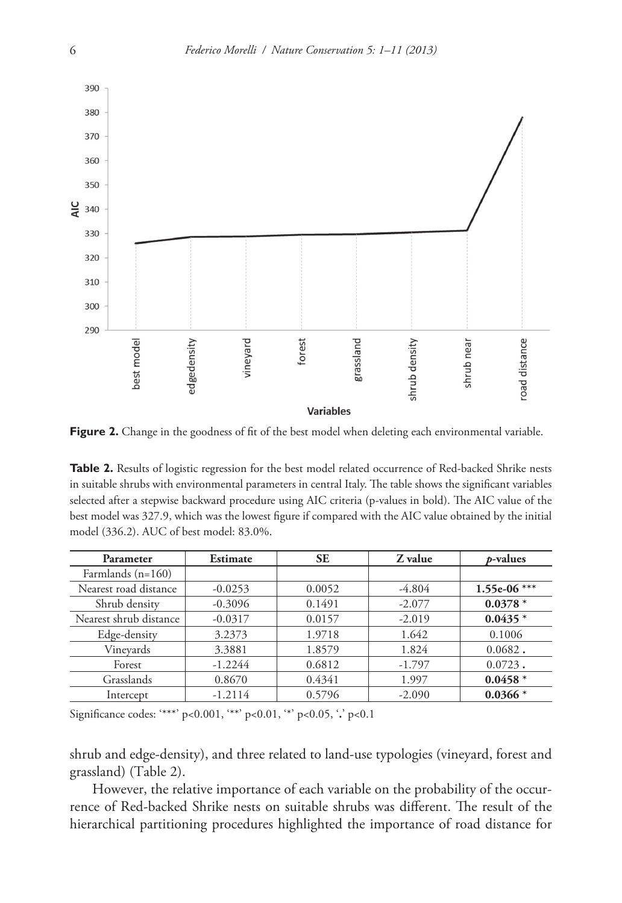

Figure 2. Change in the goodness of fit of the best model when deleting each environmental variable.

Table 2. Results of logistic regression for the best model related occurrence of Red-backed Shrike nests in suitable shrubs with environmental parameters in central Italy. The table shows the significant variables selected after a stepwise backward procedure using AIC criteria (p-values in bold). The AIC value of the best model was 327.9, which was the lowest figure if compared with the AIC value obtained by the initial model (336.2). AUC of best model: 83.0%.

| Parameter              | Estimate  | <b>SE</b> | Z value  | <i>p</i> -values |
|------------------------|-----------|-----------|----------|------------------|
| Farmlands $(n=160)$    |           |           |          |                  |
| Nearest road distance  | $-0.0253$ | 0.0052    | $-4.804$ | 1.55e-06 ***     |
| Shrub density          | $-0.3096$ | 0.1491    | $-2.077$ | $0.0378*$        |
| Nearest shrub distance | $-0.0317$ | 0.0157    | $-2.019$ | $0.0435*$        |
| Edge-density           | 3.2373    | 1.9718    | 1.642    | 0.1006           |
| Vinevards              | 3.3881    | 1.8579    | 1.824    | $0.0682$ .       |
| Forest                 | $-1.2244$ | 0.6812    | $-1.797$ | $0.0723$ .       |
| Grasslands             | 0.8670    | 0.4341    | 1.997    | $0.0458*$        |
| Intercept              | $-1.2114$ | 0.5796    | $-2.090$ | $0.0366*$        |

Significance codes: '\*\*\*' p<0.001, '\*\*' p<0.01, '\*' p<0.05, '**.**' p<0.1

shrub and edge-density), and three related to land-use typologies (vineyard, forest and grassland) (Table 2).

However, the relative importance of each variable on the probability of the occurrence of Red-backed Shrike nests on suitable shrubs was different. The result of the hierarchical partitioning procedures highlighted the importance of road distance for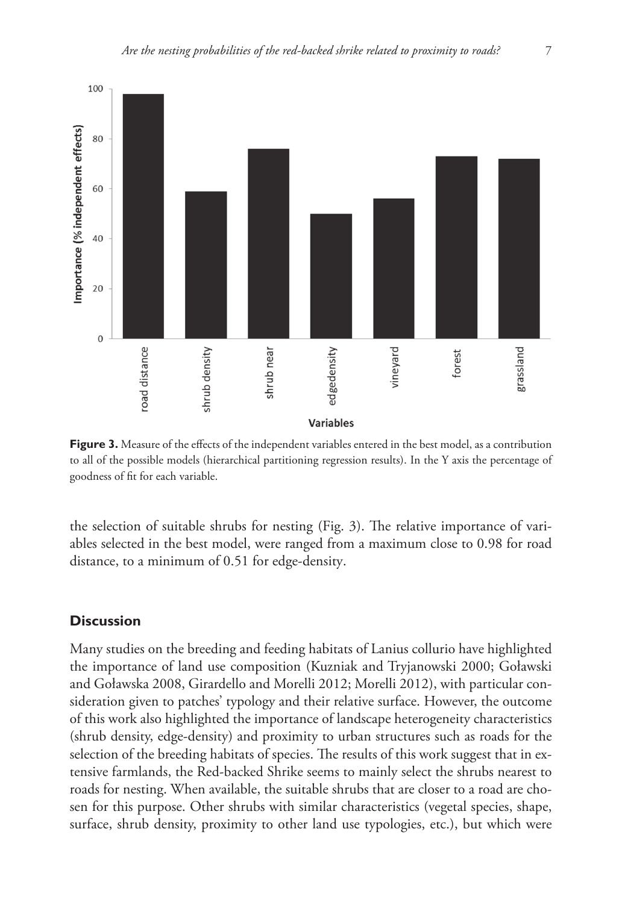

Figure 3. Measure of the effects of the independent variables entered in the best model, as a contribution to all of the possible models (hierarchical partitioning regression results). In the Y axis the percentage of goodness of fit for each variable.

the selection of suitable shrubs for nesting (Fig. 3). The relative importance of variables selected in the best model, were ranged from a maximum close to 0.98 for road distance, to a minimum of 0.51 for edge-density.

## **Discussion**

Many studies on the breeding and feeding habitats of Lanius collurio have highlighted the importance of land use composition (Kuzniak and Tryjanowski 2000; Goławski and Goławska 2008, Girardello and Morelli 2012; Morelli 2012), with particular consideration given to patches' typology and their relative surface. However, the outcome of this work also highlighted the importance of landscape heterogeneity characteristics (shrub density, edge-density) and proximity to urban structures such as roads for the selection of the breeding habitats of species. The results of this work suggest that in extensive farmlands, the Red-backed Shrike seems to mainly select the shrubs nearest to roads for nesting. When available, the suitable shrubs that are closer to a road are chosen for this purpose. Other shrubs with similar characteristics (vegetal species, shape, surface, shrub density, proximity to other land use typologies, etc.), but which were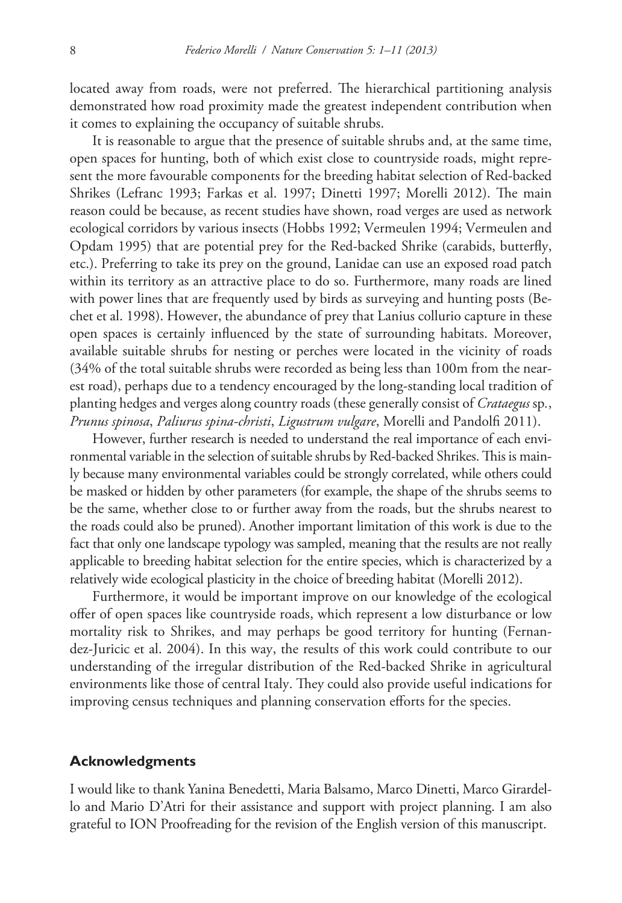located away from roads, were not preferred. The hierarchical partitioning analysis demonstrated how road proximity made the greatest independent contribution when it comes to explaining the occupancy of suitable shrubs.

It is reasonable to argue that the presence of suitable shrubs and, at the same time, open spaces for hunting, both of which exist close to countryside roads, might represent the more favourable components for the breeding habitat selection of Red-backed Shrikes (Lefranc 1993; Farkas et al. 1997; Dinetti 1997; Morelli 2012). The main reason could be because, as recent studies have shown, road verges are used as network ecological corridors by various insects (Hobbs 1992; Vermeulen 1994; Vermeulen and Opdam 1995) that are potential prey for the Red-backed Shrike (carabids, butterfly, etc.). Preferring to take its prey on the ground, Lanidae can use an exposed road patch within its territory as an attractive place to do so. Furthermore, many roads are lined with power lines that are frequently used by birds as surveying and hunting posts (Bechet et al. 1998). However, the abundance of prey that Lanius collurio capture in these open spaces is certainly influenced by the state of surrounding habitats. Moreover, available suitable shrubs for nesting or perches were located in the vicinity of roads (34% of the total suitable shrubs were recorded as being less than 100m from the nearest road), perhaps due to a tendency encouraged by the long-standing local tradition of planting hedges and verges along country roads (these generally consist of *Crataegus* sp*.*, *Prunus spinosa*, *Paliurus spina-christi*, *Ligustrum vulgare*, Morelli and Pandolfi 2011).

However, further research is needed to understand the real importance of each environmental variable in the selection of suitable shrubs by Red-backed Shrikes. This is mainly because many environmental variables could be strongly correlated, while others could be masked or hidden by other parameters (for example, the shape of the shrubs seems to be the same, whether close to or further away from the roads, but the shrubs nearest to the roads could also be pruned). Another important limitation of this work is due to the fact that only one landscape typology was sampled, meaning that the results are not really applicable to breeding habitat selection for the entire species, which is characterized by a relatively wide ecological plasticity in the choice of breeding habitat (Morelli 2012).

Furthermore, it would be important improve on our knowledge of the ecological offer of open spaces like countryside roads, which represent a low disturbance or low mortality risk to Shrikes, and may perhaps be good territory for hunting (Fernandez-Juricic et al. 2004). In this way, the results of this work could contribute to our understanding of the irregular distribution of the Red-backed Shrike in agricultural environments like those of central Italy. They could also provide useful indications for improving census techniques and planning conservation efforts for the species.

### **Acknowledgments**

I would like to thank Yanina Benedetti, Maria Balsamo, Marco Dinetti, Marco Girardello and Mario D'Atri for their assistance and support with project planning. I am also grateful to ION Proofreading for the revision of the English version of this manuscript.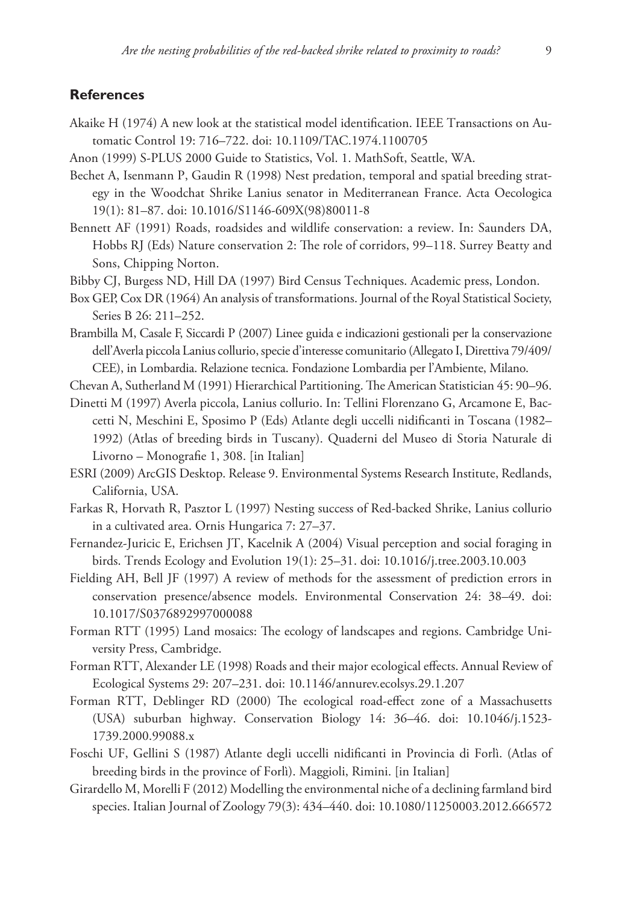## **References**

- Akaike H (1974) A new look at the statistical model identification. IEEE Transactions on Automatic Control 19: 716–722. [doi: 10.1109/TAC.1974.1100705](http://dx.doi.org/10.1109/TAC.1974.1100705)
- Anon (1999) S-PLUS 2000 Guide to Statistics, Vol. 1. MathSoft, Seattle, WA.
- Bechet A, Isenmann P, Gaudin R (1998) Nest predation, temporal and spatial breeding strategy in the Woodchat Shrike Lanius senator in Mediterranean France. Acta Oecologica 19(1): 81–87. [doi: 10.1016/S1146-609X\(98\)80011-8](http://dx.doi.org/10.1016/S1146-609X(98)80011-8)
- Bennett AF (1991) Roads, roadsides and wildlife conservation: a review. In: Saunders DA, Hobbs RJ (Eds) Nature conservation 2: The role of corridors, 99–118. Surrey Beatty and Sons, Chipping Norton.
- Bibby CJ, Burgess ND, Hill DA (1997) Bird Census Techniques. Academic press, London.
- Box GEP, Cox DR (1964) An analysis of transformations. Journal of the Royal Statistical Society, Series B 26: 211–252.
- Brambilla M, Casale F, Siccardi P (2007) Linee guida e indicazioni gestionali per la conservazione dell'Averla piccola Lanius collurio, specie d'interesse comunitario (Allegato I, Direttiva 79/409/ CEE), in Lombardia. Relazione tecnica. Fondazione Lombardia per l'Ambiente, Milano.
- Chevan A, Sutherland M (1991) Hierarchical Partitioning. The American Statistician 45: 90–96.
- Dinetti M (1997) Averla piccola, Lanius collurio. In: Tellini Florenzano G, Arcamone E, Baccetti N, Meschini E, Sposimo P (Eds) Atlante degli uccelli nidificanti in Toscana (1982– 1992) (Atlas of breeding birds in Tuscany). Quaderni del Museo di Storia Naturale di Livorno – Monografie 1, 308. [in Italian]
- ESRI (2009) ArcGIS Desktop. Release 9. Environmental Systems Research Institute, Redlands, California, USA.
- Farkas R, Horvath R, Pasztor L (1997) Nesting success of Red-backed Shrike, Lanius collurio in a cultivated area. Ornis Hungarica 7: 27–37.
- Fernandez-Juricic E, Erichsen JT, Kacelnik A (2004) Visual perception and social foraging in birds. Trends Ecology and Evolution 19(1): 25–31. [doi: 10.1016/j.tree.2003.10.003](http://dx.doi.org/10.1016/j.tree.2003.10.003)
- Fielding AH, Bell JF (1997) A review of methods for the assessment of prediction errors in conservation presence/absence models. Environmental Conservation 24: 38–49. [doi:](http://dx.doi.org/10.1017/S0376892997000088) [10.1017/S0376892997000088](http://dx.doi.org/10.1017/S0376892997000088)
- Forman RTT (1995) Land mosaics: The ecology of landscapes and regions. Cambridge University Press, Cambridge.
- Forman RTT, Alexander LE (1998) Roads and their major ecological effects. Annual Review of Ecological Systems 29: 207–231. [doi: 10.1146/annurev.ecolsys.29.1.207](http://dx.doi.org/10.1146/annurev.ecolsys.29.1.207)
- Forman RTT, Deblinger RD (2000) The ecological road-effect zone of a Massachusetts (USA) suburban highway. Conservation Biology 14: 36–46. [doi: 10.1046/j.1523-](http://dx.doi.org/10.1046/j.1523-1739.2000.99088.x) [1739.2000.99088.x](http://dx.doi.org/10.1046/j.1523-1739.2000.99088.x)
- Foschi UF, Gellini S (1987) Atlante degli uccelli nidificanti in Provincia di Forlì. (Atlas of breeding birds in the province of Forlì). Maggioli, Rimini. [in Italian]
- Girardello M, Morelli F (2012) Modelling the environmental niche of a declining farmland bird species. Italian Journal of Zoology 79(3): 434–440. [doi: 10.1080/11250003.2012.666572](http://dx.doi.org/10.1080/11250003.2012.666572)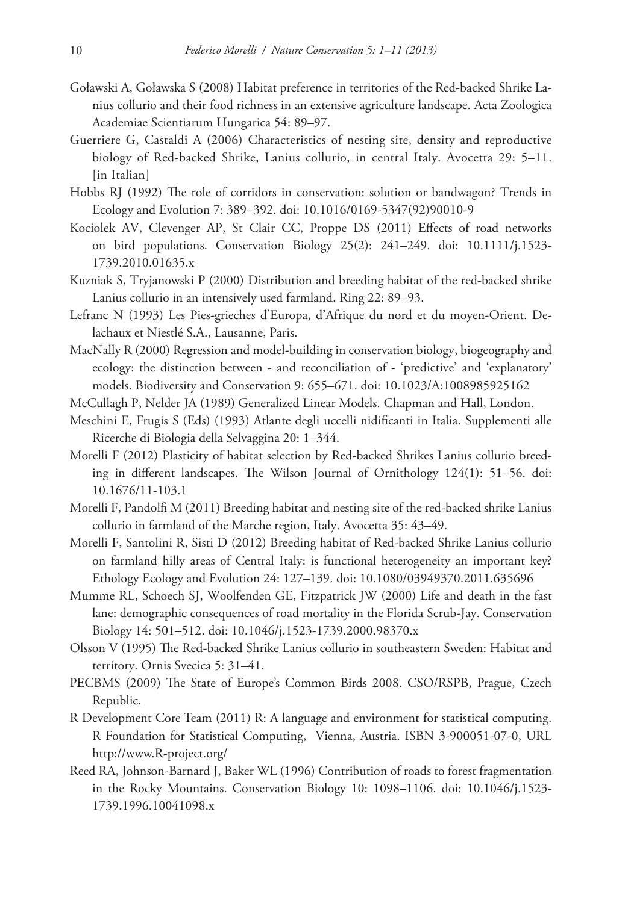- Goławski A, Goławska S (2008) Habitat preference in territories of the Red-backed Shrike Lanius collurio and their food richness in an extensive agriculture landscape. Acta Zoologica Academiae Scientiarum Hungarica 54: 89–97.
- Guerriere G, Castaldi A (2006) Characteristics of nesting site, density and reproductive biology of Red-backed Shrike, Lanius collurio, in central Italy. Avocetta 29: 5–11. [in Italian]
- Hobbs RJ (1992) The role of corridors in conservation: solution or bandwagon? Trends in Ecology and Evolution 7: 389–392. [doi: 10.1016/0169-5347\(92\)90010-9](http://dx.doi.org/10.1016/0169-5347(92)90010-9)
- [Kociolek AV,](http://www.ncbi.nlm.nih.gov/pubmed?term=%22Kociolek AV%22%5BAuthor%5D) [Clevenger AP](http://www.ncbi.nlm.nih.gov/pubmed?term=%22Clevenger AP%22%5BAuthor%5D), [St Clair CC,](http://www.ncbi.nlm.nih.gov/pubmed?term=%22St Clair CC%22%5BAuthor%5D) [Proppe DS](http://www.ncbi.nlm.nih.gov/pubmed?term=%22Proppe DS%22%5BAuthor%5D) (2011) Effects of road networks on bird populations. [Conservation Biology](http://www.ncbi.nlm.nih.gov/pubmed/21284729) 25(2): 241–249. [doi: 10.1111/j.1523-](http://dx.doi.org/10.1111/j.1523-1739.2010.01635.x) [1739.2010.01635.x](http://dx.doi.org/10.1111/j.1523-1739.2010.01635.x)
- Kuzniak S, Tryjanowski P (2000) Distribution and breeding habitat of the red-backed shrike Lanius collurio in an intensively used farmland. Ring 22: 89–93.
- Lefranc N (1993) Les Pies-grieches d'Europa, d'Afrique du nord et du moyen-Orient. Delachaux et Niestlé S.A., Lausanne, Paris.
- MacNally R (2000) Regression and model-building in conservation biology, biogeography and ecology: the distinction between - and reconciliation of - 'predictive' and 'explanatory' models. Biodiversity and Conservation 9: 655–671. [doi: 10.1023/A:1008985925162](http://dx.doi.org/10.1023/A:1008985925162)
- McCullagh P, Nelder JA (1989) Generalized Linear Models. Chapman and Hall, London.
- Meschini E, Frugis S (Eds) (1993) Atlante degli uccelli nidificanti in Italia. Supplementi alle Ricerche di Biologia della Selvaggina 20: 1–344.
- Morelli F (2012) Plasticity of habitat selection by Red-backed Shrikes Lanius collurio breeding in different landscapes. The Wilson Journal of Ornithology 124(1): 51–56. [doi:](http://dx.doi.org/10.1676/11-103.1) [10.1676/11-103.1](http://dx.doi.org/10.1676/11-103.1)
- Morelli F, Pandolfi M (2011) Breeding habitat and nesting site of the red-backed shrike Lanius collurio in farmland of the Marche region, Italy. Avocetta 35: 43–49.
- Morelli F, Santolini R, Sisti D (2012) Breeding habitat of Red-backed Shrike Lanius collurio on farmland hilly areas of Central Italy: is functional heterogeneity an important key? Ethology Ecology and Evolution 24: 127–139. [doi: 10.1080/03949370.2011.635696](http://dx.doi.org/10.1080/03949370.2011.635696)
- Mumme RL, Schoech SJ, Woolfenden GE, Fitzpatrick JW (2000) Life and death in the fast lane: demographic consequences of road mortality in the Florida Scrub-Jay. Conservation Biology 14: 501–512. [doi: 10.1046/j.1523-1739.2000.98370.x](http://dx.doi.org/10.1046/j.1523-1739.2000.98370.x)
- Olsson V (1995) The Red-backed Shrike Lanius collurio in southeastern Sweden: Habitat and territory. Ornis Svecica 5: 31–41.
- PECBMS (2009) The State of Europe's Common Birds 2008. CSO/RSPB, Prague, Czech Republic.
- R Development Core Team (2011) R: A language and environment for statistical computing. R Foundation for Statistical Computing, Vienna, Austria. ISBN 3-900051-07-0, URL [http://www.R-project.org/](http://www.R-project.org)
- Reed RA, Johnson-Barnard J, Baker WL (1996) Contribution of roads to forest fragmentation in the Rocky Mountains. Conservation Biology 10: 1098–1106. [doi: 10.1046/j.1523-](http://dx.doi.org/10.1046/j.1523-1739.1996.10041098.x) [1739.1996.10041098.x](http://dx.doi.org/10.1046/j.1523-1739.1996.10041098.x)